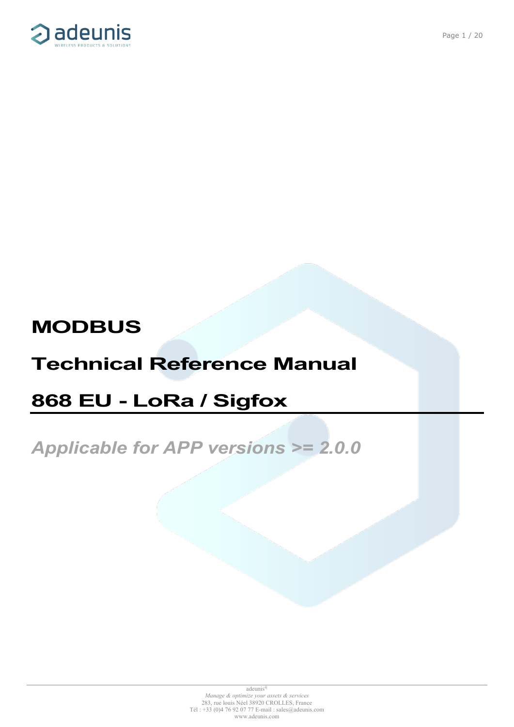

Page 1 / 20

## **MODBUS**

## **Technical Reference Manual**

# **868 EU - LoRa / Sigfox**

# *Applicable for APP versions >= 2.0.0*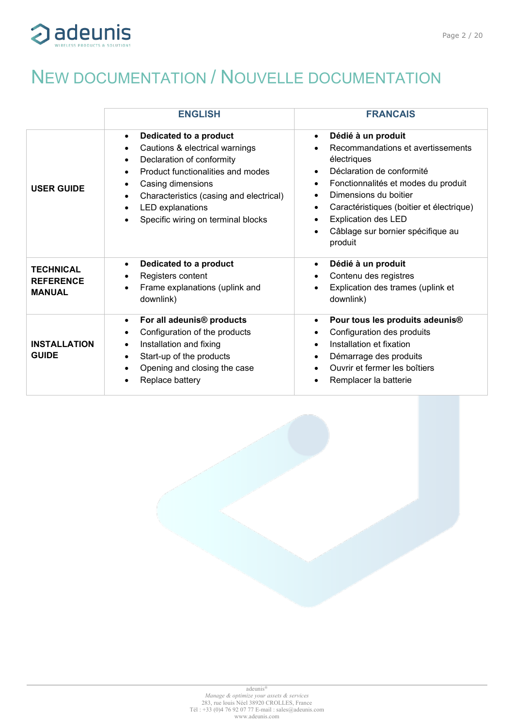

# <span id="page-1-0"></span>NEW DOCUMENTATION / NOUVELLE DOCUMENTATION

|                                                       | <b>ENGLISH</b>                                                                                                                                                                                                                                                                                                                     | <b>FRANCAIS</b>                                                                                                                                                                                                                                                                                                                      |
|-------------------------------------------------------|------------------------------------------------------------------------------------------------------------------------------------------------------------------------------------------------------------------------------------------------------------------------------------------------------------------------------------|--------------------------------------------------------------------------------------------------------------------------------------------------------------------------------------------------------------------------------------------------------------------------------------------------------------------------------------|
| <b>USER GUIDE</b>                                     | Dedicated to a product<br>$\bullet$<br>Cautions & electrical warnings<br>$\bullet$<br>Declaration of conformity<br>$\bullet$<br>Product functionalities and modes<br>Casing dimensions<br>$\bullet$<br>Characteristics (casing and electrical)<br>$\bullet$<br>LED explanations<br>$\bullet$<br>Specific wiring on terminal blocks | Dédié à un produit<br>$\bullet$<br>Recommandations et avertissements<br>électriques<br>Déclaration de conformité<br>Fonctionnalités et modes du produit<br>$\bullet$<br>Dimensions du boitier<br>Caractéristiques (boitier et électrique)<br>$\bullet$<br><b>Explication des LED</b><br>Câblage sur bornier spécifique au<br>produit |
| <b>TECHNICAL</b><br><b>REFERENCE</b><br><b>MANUAL</b> | Dedicated to a product<br>$\bullet$<br>Registers content<br>Frame explanations (uplink and<br>downlink)                                                                                                                                                                                                                            | Dédié à un produit<br>$\bullet$<br>Contenu des registres<br>$\bullet$<br>Explication des trames (uplink et<br>downlink)                                                                                                                                                                                                              |
| <b>INSTALLATION</b><br><b>GUIDE</b>                   | For all adeunis <sup>®</sup> products<br>$\bullet$<br>Configuration of the products<br>٠<br>Installation and fixing<br>$\bullet$<br>Start-up of the products<br>$\bullet$<br>Opening and closing the case<br>$\bullet$<br>Replace battery<br>$\bullet$                                                                             | Pour tous les produits adeunis®<br>$\bullet$<br>Configuration des produits<br>Installation et fixation<br>Démarrage des produits<br>$\bullet$<br>Ouvrir et fermer les boîtiers<br>Remplacer la batterie<br>$\bullet$                                                                                                                 |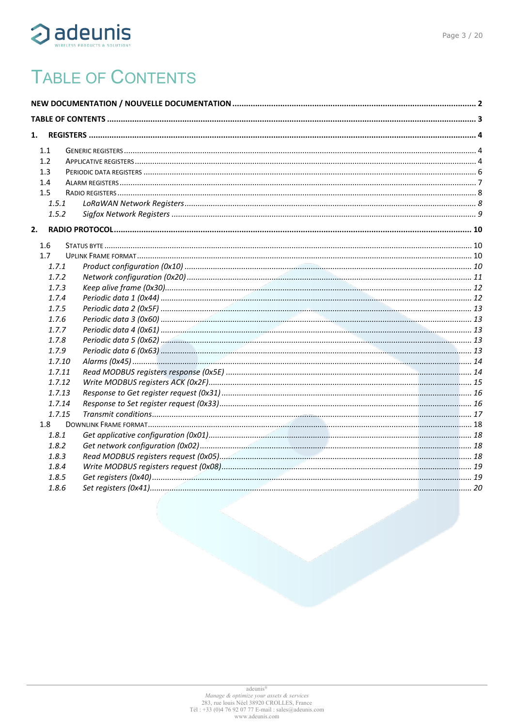

# <span id="page-2-0"></span>**TABLE OF CONTENTS**

| 1. |            |  |
|----|------------|--|
|    |            |  |
|    | 1.1        |  |
|    | 1.2<br>1.3 |  |
|    | 1.4        |  |
|    | 1.5        |  |
|    | 1.5.1      |  |
|    | 1.5.2      |  |
|    |            |  |
| 2. |            |  |
|    | 1.6        |  |
|    | 1.7        |  |
|    | 1.7.1      |  |
|    | 1.7.2      |  |
|    | 1.7.3      |  |
|    | 1.7.4      |  |
|    | 1.7.5      |  |
|    | 1.7.6      |  |
|    | 1.7.7      |  |
|    | 1.7.8      |  |
|    | 1.7.9      |  |
|    | 1.7.10     |  |
|    | 1.7.11     |  |
|    | 1.7.12     |  |
|    | 1.7.13     |  |
|    | 1.7.14     |  |
|    | 1.7.15     |  |
|    | 1.8        |  |
|    | 1.8.1      |  |
|    | 1.8.2      |  |
|    | 1.8.3      |  |
|    | 1.8.4      |  |
|    | 1.8.5      |  |
|    | 1.8.6      |  |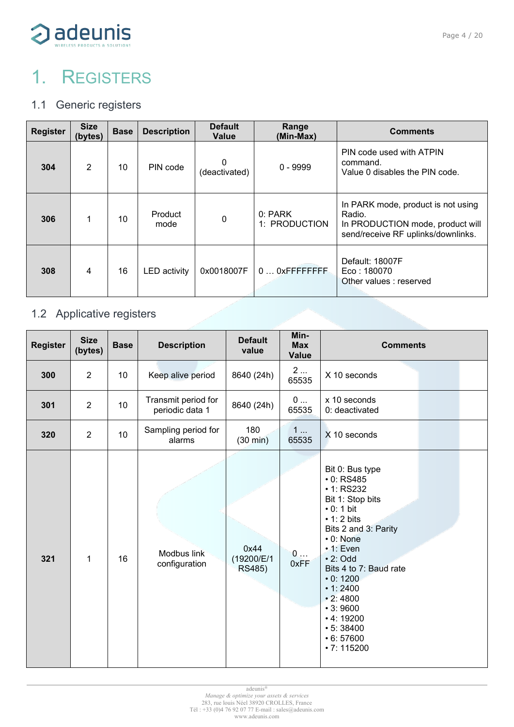

# <span id="page-3-0"></span>1. REGISTERS

## <span id="page-3-1"></span>1.1 Generic registers

| <b>Register</b> | <b>Size</b><br>(bytes) | <b>Base</b> | <b>Description</b>  | <b>Default</b><br><b>Value</b> | Range<br>(Min-Max)       | <b>Comments</b>                                                                                                        |
|-----------------|------------------------|-------------|---------------------|--------------------------------|--------------------------|------------------------------------------------------------------------------------------------------------------------|
| 304             | 2                      | 10          | PIN code            | 0<br>(deactivated)             | $0 - 9999$               | PIN code used with ATPIN<br>command.<br>Value 0 disables the PIN code.                                                 |
| 306             |                        | 10          | Product<br>mode     | $\mathbf{0}$                   | 0: PARK<br>1: PRODUCTION | In PARK mode, product is not using<br>Radio.<br>In PRODUCTION mode, product will<br>send/receive RF uplinks/downlinks. |
| 308             | 4                      | 16          | <b>LED</b> activity | 0x0018007F                     | $0$ OxFFFFFFFFF          | Default: 18007F<br>Eco: 180070<br>Other values : reserved                                                              |

## <span id="page-3-2"></span>1.2 Applicative registers

| <b>Register</b> | <b>Size</b><br>(bytes) | <b>Base</b> | <b>Description</b>                     | <b>Default</b><br>value      | Min-<br><b>Max</b><br><b>Value</b> | <b>Comments</b>                                                                                                                                                                                                                                                                                                                                           |
|-----------------|------------------------|-------------|----------------------------------------|------------------------------|------------------------------------|-----------------------------------------------------------------------------------------------------------------------------------------------------------------------------------------------------------------------------------------------------------------------------------------------------------------------------------------------------------|
| 300             | $\overline{2}$         | 10          | Keep alive period                      | 8640 (24h)                   | 2<br>65535                         | X 10 seconds                                                                                                                                                                                                                                                                                                                                              |
| 301             | $\overline{2}$         | 10          | Transmit period for<br>periodic data 1 | 8640 (24h)                   | 0<br>65535                         | x 10 seconds<br>0: deactivated                                                                                                                                                                                                                                                                                                                            |
| 320             | $\overline{2}$         | 10          | Sampling period for<br>alarms          | 180<br>$(30 \text{ min})$    | 1<br>65535                         | X 10 seconds                                                                                                                                                                                                                                                                                                                                              |
| 321             | $\mathbf{1}$           | 16          | Modbus link<br>configuration           | 0x44<br>(19200/E/1<br>RS485) | 0<br>0xFF                          | Bit 0: Bus type<br>$\cdot$ 0: RS485<br>• 1: RS232<br>Bit 1: Stop bits<br>$\cdot$ 0: 1 bit<br>$\cdot$ 1: 2 bits<br>Bits 2 and 3: Parity<br>$\cdot$ 0: None<br>$\cdot$ 1: Even<br>$\cdot$ 2: Odd<br>Bits 4 to 7: Baud rate<br>$\cdot$ 0: 1200<br>$\cdot$ 1:2400<br>• 2:4800<br>•3:9600<br>$\cdot$ 4: 19200<br>• 5: 38400<br>• 6: 57600<br>$\cdot$ 7: 115200 |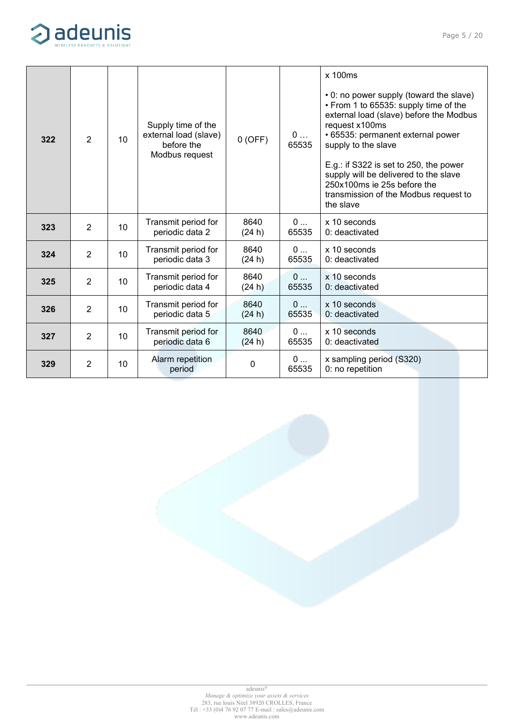

| 322 | $\overline{2}$ | 10 | Supply time of the<br>external load (slave)<br>before the<br>Modbus request | $0$ (OFF)      | 0<br>65535 | x 100ms<br>• 0: no power supply (toward the slave)<br>• From 1 to 65535: supply time of the<br>external load (slave) before the Modbus<br>request x100ms<br>• 65535: permanent external power<br>supply to the slave<br>E.g.: if S322 is set to 250, the power<br>supply will be delivered to the slave<br>250x100ms ie 25s before the<br>transmission of the Modbus request to<br>the slave |
|-----|----------------|----|-----------------------------------------------------------------------------|----------------|------------|----------------------------------------------------------------------------------------------------------------------------------------------------------------------------------------------------------------------------------------------------------------------------------------------------------------------------------------------------------------------------------------------|
| 323 | 2              | 10 | Transmit period for<br>periodic data 2                                      | 8640<br>(24 h) | 0<br>65535 | x 10 seconds<br>0: deactivated                                                                                                                                                                                                                                                                                                                                                               |
| 324 | $\overline{2}$ | 10 | Transmit period for<br>periodic data 3                                      | 8640<br>(24 h) | 0<br>65535 | x 10 seconds<br>0: deactivated                                                                                                                                                                                                                                                                                                                                                               |
| 325 | 2              | 10 | Transmit period for<br>periodic data 4                                      | 8640<br>(24 h) | 0<br>65535 | $x$ 10 seconds<br>0: deactivated                                                                                                                                                                                                                                                                                                                                                             |
| 326 | $\overline{2}$ | 10 | Transmit period for<br>periodic data 5                                      | 8640<br>(24 h) | 0<br>65535 | x 10 seconds<br>0: deactivated                                                                                                                                                                                                                                                                                                                                                               |
| 327 | $\overline{2}$ | 10 | Transmit period for<br>periodic data 6                                      | 8640<br>(24 h) | 0<br>65535 | $x 10$ seconds<br>0: deactivated                                                                                                                                                                                                                                                                                                                                                             |
| 329 | 2              | 10 | Alarm repetition<br>period                                                  | 0              | 0<br>65535 | x sampling period (S320)<br>0: no repetition                                                                                                                                                                                                                                                                                                                                                 |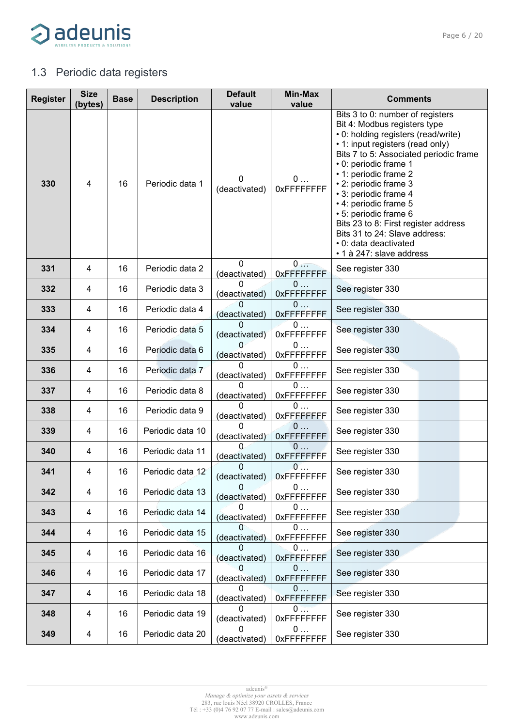

<span id="page-5-0"></span>

| <b>Register</b> | Size<br>(bytes)                                                 | <b>Base</b> | <b>Description</b> | <b>Default</b><br>value       | Min-Max<br>value         | <b>Comments</b>                                                                                                                                                                                                                                                                                                                                                                                                                                                           |  |
|-----------------|-----------------------------------------------------------------|-------------|--------------------|-------------------------------|--------------------------|---------------------------------------------------------------------------------------------------------------------------------------------------------------------------------------------------------------------------------------------------------------------------------------------------------------------------------------------------------------------------------------------------------------------------------------------------------------------------|--|
| 330             | 4                                                               | 16          | Periodic data 1    | 0<br>(deactivated)            | 0<br>0xFFFFFFFFF         | Bits 3 to 0: number of registers<br>Bit 4: Modbus registers type<br>• 0: holding registers (read/write)<br>• 1: input registers (read only)<br>Bits 7 to 5: Associated periodic frame<br>• 0: periodic frame 1<br>• 1: periodic frame 2<br>• 2: periodic frame 3<br>• 3: periodic frame 4<br>• 4: periodic frame 5<br>• 5: periodic frame 6<br>Bits 23 to 8: First register address<br>Bits 31 to 24: Slave address:<br>• 0: data deactivated<br>• 1 à 247: slave address |  |
| 331             | 4                                                               | 16          | Periodic data 2    | <sup>0</sup><br>(deactivated) | 0<br>0xFFFFFFFF          | See register 330                                                                                                                                                                                                                                                                                                                                                                                                                                                          |  |
| 332             | 4                                                               | 16          | Periodic data 3    | (deactivated)                 | 0<br>0xFFFFFFFFF         | See register 330                                                                                                                                                                                                                                                                                                                                                                                                                                                          |  |
| 333             | 4                                                               | 16          | Periodic data 4    | (deactivated)                 | 0<br><b>OXFEFFFFFF</b>   | See register 330                                                                                                                                                                                                                                                                                                                                                                                                                                                          |  |
| 334             | 4                                                               | 16          | Periodic data 5    | (deactivated)                 | 0<br>0xFFFFFFFF          | See register 330                                                                                                                                                                                                                                                                                                                                                                                                                                                          |  |
| 335             | 4                                                               | 16          | Periodic data 6    | (deactivated)                 | $0$<br>0xFFFFFFFF        | See register 330                                                                                                                                                                                                                                                                                                                                                                                                                                                          |  |
| 336             | 4                                                               | 16          | Periodic data 7    | (deactivated)                 | 0<br>0xFFFFFFFFF         | See register 330                                                                                                                                                                                                                                                                                                                                                                                                                                                          |  |
| 337             | 4                                                               | 16          | Periodic data 8    | (deactivated)                 | $0$<br>0xFFFFFFFF        | See register 330                                                                                                                                                                                                                                                                                                                                                                                                                                                          |  |
| 338             | 4                                                               | 16          | Periodic data 9    | (deactivated)                 | $0$<br>OxFFFFFFFF        | See register 330                                                                                                                                                                                                                                                                                                                                                                                                                                                          |  |
| 339             | 4                                                               | 16          | Periodic data 10   | (deactivated)                 | 0<br>0xFFFFFFFF          | See register 330                                                                                                                                                                                                                                                                                                                                                                                                                                                          |  |
| 340             | 4                                                               | 16          | Periodic data 11   | (deactivated)                 | $0 \ldots$<br>0xFFFFFFFF | See register 330                                                                                                                                                                                                                                                                                                                                                                                                                                                          |  |
| 341             | 4                                                               | 16          | Periodic data 12   | (deactivated)                 | 0<br><b>OxFFFFFFFFF</b>  | See register 330                                                                                                                                                                                                                                                                                                                                                                                                                                                          |  |
| 342             | 4                                                               | 16          | Periodic data 13   | 0<br>(deactivated)            | 0<br>0xFFFFFFFF          | See register 330                                                                                                                                                                                                                                                                                                                                                                                                                                                          |  |
| 343             | 4                                                               | 16          | Periodic data 14   | (deactivated)                 | $0 \ldots$<br>0xFFFFFFFF | See register 330                                                                                                                                                                                                                                                                                                                                                                                                                                                          |  |
| 344             | 4                                                               | 16          | Periodic data 15   | (deactivated)                 | 0<br>0xFFFFFFFF          | See register 330                                                                                                                                                                                                                                                                                                                                                                                                                                                          |  |
| 345             | 4                                                               | 16          | Periodic data 16   | (deactivated)                 | 0<br><b>OXFFFFFFFF</b>   | See register 330                                                                                                                                                                                                                                                                                                                                                                                                                                                          |  |
| 346             | 0<br>16<br>4<br>Periodic data 17<br>(deactivated)<br>0xFFFFFFFF |             | See register 330   |                               |                          |                                                                                                                                                                                                                                                                                                                                                                                                                                                                           |  |
| 347             | 4                                                               | 16          | Periodic data 18   | (deactivated)                 | 0<br><b>OXFFFFFFFF</b>   | See register 330                                                                                                                                                                                                                                                                                                                                                                                                                                                          |  |
| 348             | 4                                                               | 16          | Periodic data 19   | (deactivated)                 | 0<br>0xFFFFFFFF          | See register 330                                                                                                                                                                                                                                                                                                                                                                                                                                                          |  |
| 349             | 4                                                               | 16          | Periodic data 20   | (deactivated)                 | $0 \ldots$<br>0xFFFFFFFF | See register 330                                                                                                                                                                                                                                                                                                                                                                                                                                                          |  |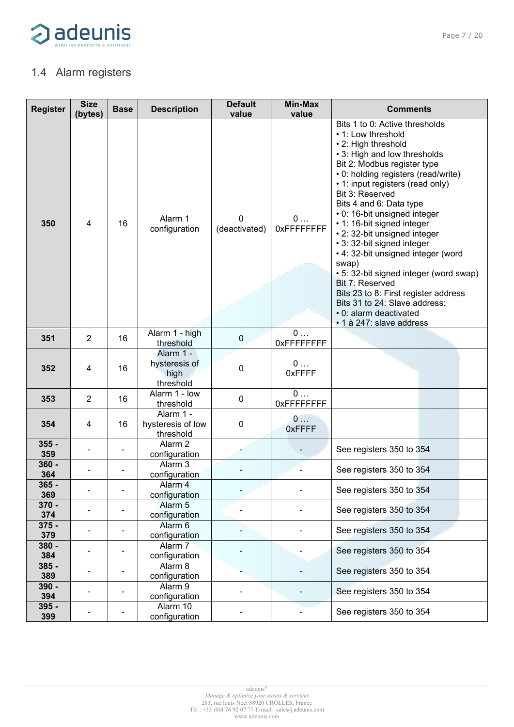

<span id="page-6-0"></span>

| <b>Register</b> | <b>Size</b><br>(bytes) | <b>Base</b> | <b>Description</b>                              | <b>Default</b><br>value   | Min-Max<br>value | <b>Comments</b>                                                                                                                                                                                                                                                                                                                                                                                                                                                                                                                                                                                                                            |  |  |
|-----------------|------------------------|-------------|-------------------------------------------------|---------------------------|------------------|--------------------------------------------------------------------------------------------------------------------------------------------------------------------------------------------------------------------------------------------------------------------------------------------------------------------------------------------------------------------------------------------------------------------------------------------------------------------------------------------------------------------------------------------------------------------------------------------------------------------------------------------|--|--|
| 350             | 4                      | 16          | Alarm 1<br>configuration                        | $\Omega$<br>(deactivated) | 0<br>0xFFFFFFFFF | Bits 1 to 0: Active thresholds<br>• 1: Low threshold<br>• 2: High threshold<br>• 3: High and low thresholds<br>Bit 2: Modbus register type<br>• 0: holding registers (read/write)<br>• 1: input registers (read only)<br>Bit 3: Reserved<br>Bits 4 and 6: Data type<br>• 0: 16-bit unsigned integer<br>• 1: 16-bit signed integer<br>• 2: 32-bit unsigned integer<br>• 3: 32-bit signed integer<br>• 4: 32-bit unsigned integer (word<br>swap)<br>• 5: 32-bit signed integer (word swap)<br>Bit 7: Reserved<br>Bits 23 to 8: First register address<br>Bits 31 to 24: Slave address:<br>• 0: alarm deactivated<br>• 1 à 247: slave address |  |  |
| 351             | $\overline{2}$         | 16          | Alarm 1 - high<br>threshold                     | $\pmb{0}$                 | 0<br>0xFFFFFFFFF |                                                                                                                                                                                                                                                                                                                                                                                                                                                                                                                                                                                                                                            |  |  |
| 352             | 4                      | 16          | Alarm 1 -<br>hysteresis of<br>high<br>threshold | 0                         | 0<br>0xFFFF      |                                                                                                                                                                                                                                                                                                                                                                                                                                                                                                                                                                                                                                            |  |  |
| 353             | $\overline{2}$         | 16          | Alarm 1 - low<br>threshold                      | $\mathbf 0$               | 0<br>0xFFFFFFFF  |                                                                                                                                                                                                                                                                                                                                                                                                                                                                                                                                                                                                                                            |  |  |
| 354             | 4                      | 16          | Alarm 1 -<br>hysteresis of low<br>threshold     | 0                         | 0<br>0xFFFF      |                                                                                                                                                                                                                                                                                                                                                                                                                                                                                                                                                                                                                                            |  |  |
| $355 -$<br>359  |                        |             | Alarm <sub>2</sub><br>configuration             |                           |                  | See registers 350 to 354                                                                                                                                                                                                                                                                                                                                                                                                                                                                                                                                                                                                                   |  |  |
| $360 -$<br>364  |                        |             | Alarm <sub>3</sub><br>configuration             |                           |                  | See registers 350 to 354                                                                                                                                                                                                                                                                                                                                                                                                                                                                                                                                                                                                                   |  |  |
| $365 -$<br>369  |                        |             | Alarm <sub>4</sub><br>configuration             |                           |                  | See registers 350 to 354                                                                                                                                                                                                                                                                                                                                                                                                                                                                                                                                                                                                                   |  |  |
| $370 -$<br>374  |                        |             | Alarm 5<br>configuration                        |                           |                  | See registers 350 to 354                                                                                                                                                                                                                                                                                                                                                                                                                                                                                                                                                                                                                   |  |  |
| $375 -$<br>379  |                        |             | Alarm <sub>6</sub><br>configuration             |                           |                  | See registers 350 to 354                                                                                                                                                                                                                                                                                                                                                                                                                                                                                                                                                                                                                   |  |  |
| 380 -<br>384    |                        |             | Alarm 7<br>configuration                        |                           |                  | See registers 350 to 354                                                                                                                                                                                                                                                                                                                                                                                                                                                                                                                                                                                                                   |  |  |
| $385 -$<br>389  |                        |             | Alarm 8<br>configuration                        |                           |                  | See registers 350 to 354                                                                                                                                                                                                                                                                                                                                                                                                                                                                                                                                                                                                                   |  |  |
| $390 -$<br>394  |                        |             | Alarm 9<br>configuration                        |                           |                  | See registers 350 to 354                                                                                                                                                                                                                                                                                                                                                                                                                                                                                                                                                                                                                   |  |  |
| $395 -$<br>399  |                        |             | Alarm 10<br>configuration                       |                           |                  | See registers 350 to 354                                                                                                                                                                                                                                                                                                                                                                                                                                                                                                                                                                                                                   |  |  |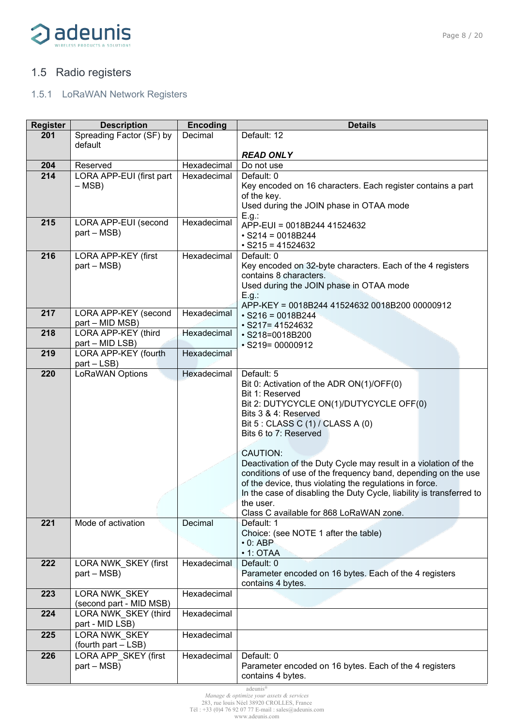

### <span id="page-7-0"></span>1.5 Radio registers

### <span id="page-7-1"></span>1.5.1 LoRaWAN Network Registers

| <b>Register</b> | <b>Description</b>       | <b>Encoding</b> | <b>Details</b>                                                       |  |  |  |  |  |
|-----------------|--------------------------|-----------------|----------------------------------------------------------------------|--|--|--|--|--|
| 201             | Spreading Factor (SF) by | Decimal         | Default: 12                                                          |  |  |  |  |  |
|                 | default                  |                 |                                                                      |  |  |  |  |  |
|                 |                          |                 | <b>READ ONLY</b>                                                     |  |  |  |  |  |
| 204             | Reserved                 | Hexadecimal     | Do not use                                                           |  |  |  |  |  |
| 214             | LORA APP-EUI (first part | Hexadecimal     | Default: 0                                                           |  |  |  |  |  |
|                 | $-$ MSB)                 |                 | Key encoded on 16 characters. Each register contains a part          |  |  |  |  |  |
|                 |                          |                 | of the key.                                                          |  |  |  |  |  |
|                 |                          |                 | Used during the JOIN phase in OTAA mode                              |  |  |  |  |  |
| 215             | LORA APP-EUI (second     | Hexadecimal     | E.g.:                                                                |  |  |  |  |  |
|                 | part – MSB)              |                 | APP-EUI = 0018B244 41524632                                          |  |  |  |  |  |
|                 |                          |                 | $\cdot$ S214 = 0018B244                                              |  |  |  |  |  |
|                 |                          |                 | $\cdot$ S215 = 41524632                                              |  |  |  |  |  |
| 216             | LORA APP-KEY (first      | Hexadecimal     | Default: 0                                                           |  |  |  |  |  |
|                 | part – MSB)              |                 | Key encoded on 32-byte characters. Each of the 4 registers           |  |  |  |  |  |
|                 |                          |                 | contains 8 characters.                                               |  |  |  |  |  |
|                 |                          |                 | Used during the JOIN phase in OTAA mode                              |  |  |  |  |  |
|                 |                          |                 | E.g.:<br>APP-KEY = 0018B244 41524632 0018B200 00000912               |  |  |  |  |  |
| 217             | LORA APP-KEY (second     | Hexadecimal     | $\cdot$ S216 = 0018B244                                              |  |  |  |  |  |
|                 | part - MID MSB)          |                 | $\cdot$ S217= 41524632                                               |  |  |  |  |  |
| 218             | LORA APP-KEY (third      | Hexadecimal     | · S218=0018B200                                                      |  |  |  |  |  |
|                 | part - MID LSB)          |                 | $\cdot$ S219= 00000912                                               |  |  |  |  |  |
| 219             | LORA APP-KEY (fourth     | Hexadecimal     |                                                                      |  |  |  |  |  |
|                 | part – LSB)              |                 |                                                                      |  |  |  |  |  |
| 220             | LoRaWAN Options          | Hexadecimal     | Default: 5                                                           |  |  |  |  |  |
|                 |                          |                 | Bit 0: Activation of the ADR ON(1)/OFF(0)                            |  |  |  |  |  |
|                 |                          |                 | Bit 1: Reserved                                                      |  |  |  |  |  |
|                 |                          |                 | Bit 2: DUTYCYCLE ON(1)/DUTYCYCLE OFF(0)                              |  |  |  |  |  |
|                 |                          |                 | Bits 3 & 4: Reserved                                                 |  |  |  |  |  |
|                 |                          |                 | Bit 5 : CLASS C (1) / CLASS A (0)                                    |  |  |  |  |  |
|                 |                          |                 | Bits 6 to 7: Reserved                                                |  |  |  |  |  |
|                 |                          |                 | <b>CAUTION:</b>                                                      |  |  |  |  |  |
|                 |                          |                 | Deactivation of the Duty Cycle may result in a violation of the      |  |  |  |  |  |
|                 |                          |                 | conditions of use of the frequency band, depending on the use        |  |  |  |  |  |
|                 |                          |                 | of the device, thus violating the regulations in force.              |  |  |  |  |  |
|                 |                          |                 | In the case of disabling the Duty Cycle, liability is transferred to |  |  |  |  |  |
|                 |                          |                 | the user.                                                            |  |  |  |  |  |
|                 |                          |                 | Class C available for 868 LoRaWAN zone.                              |  |  |  |  |  |
| 221             | Mode of activation       | Decimal         | Default: 1                                                           |  |  |  |  |  |
|                 |                          |                 | Choice: (see NOTE 1 after the table)                                 |  |  |  |  |  |
|                 |                          |                 | $\cdot$ 0: ABP                                                       |  |  |  |  |  |
|                 |                          |                 | • 1: OTAA                                                            |  |  |  |  |  |
| 222             | LORA NWK_SKEY (first     | Hexadecimal     | Default: 0                                                           |  |  |  |  |  |
|                 | part – MSB)              |                 | Parameter encoded on 16 bytes. Each of the 4 registers               |  |  |  |  |  |
|                 |                          |                 | contains 4 bytes.                                                    |  |  |  |  |  |
| 223             | <b>LORA NWK SKEY</b>     | Hexadecimal     |                                                                      |  |  |  |  |  |
|                 | (second part - MID MSB)  |                 |                                                                      |  |  |  |  |  |
| 224             | LORA NWK SKEY (third     | Hexadecimal     |                                                                      |  |  |  |  |  |
|                 | part - MID LSB)          |                 |                                                                      |  |  |  |  |  |
| 225             | LORA NWK SKEY            | Hexadecimal     |                                                                      |  |  |  |  |  |
|                 | (fourth part - LSB)      |                 |                                                                      |  |  |  |  |  |
| 226             | LORA APP_SKEY (first     | Hexadecimal     | Default: 0                                                           |  |  |  |  |  |
|                 | part – MSB)              |                 | Parameter encoded on 16 bytes. Each of the 4 registers               |  |  |  |  |  |
|                 |                          |                 | contains 4 bytes.                                                    |  |  |  |  |  |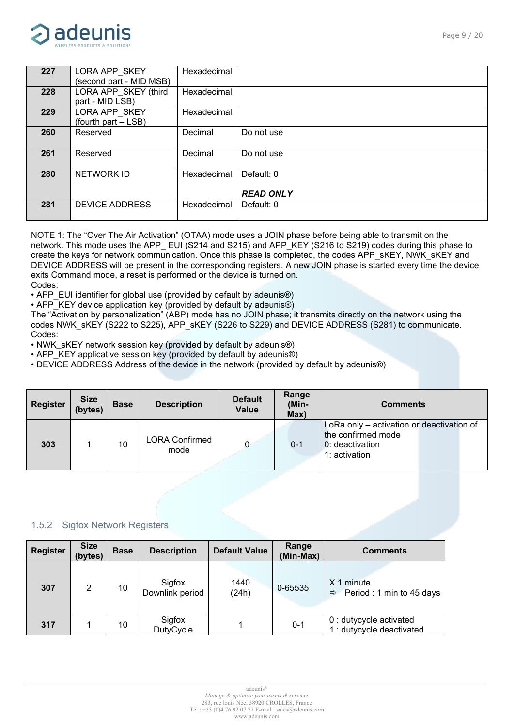

| LORA APP SKEY           | Hexadecimal |                  |
|-------------------------|-------------|------------------|
| (second part - MID MSB) |             |                  |
| LORA APP SKEY (third    | Hexadecimal |                  |
| part - MID LSB)         |             |                  |
| LORA APP SKEY           | Hexadecimal |                  |
| (fourth part - LSB)     |             |                  |
| Reserved                | Decimal     | Do not use       |
|                         |             |                  |
| Reserved                | Decimal     | Do not use       |
|                         |             |                  |
| <b>NETWORK ID</b>       | Hexadecimal | Default: 0       |
|                         |             |                  |
|                         |             | <b>READ ONLY</b> |
| <b>DEVICE ADDRESS</b>   | Hexadecimal | Default: 0       |
|                         |             |                  |
|                         |             |                  |

NOTE 1: The "Over The Air Activation" (OTAA) mode uses a JOIN phase before being able to transmit on the network. This mode uses the APP\_ EUI (S214 and S215) and APP\_KEY (S216 to S219) codes during this phase to create the keys for network communication. Once this phase is completed, the codes APP\_sKEY, NWK\_sKEY and DEVICE ADDRESS will be present in the corresponding registers. A new JOIN phase is started every time the device exits Command mode, a reset is performed or the device is turned on. Codes:

• APP\_EUI identifier for global use (provided by default by adeunis®)

• APP\_KEY device application key (provided by default by adeunis®)

The "Activation by personalization" (ABP) mode has no JOIN phase; it transmits directly on the network using the codes NWK\_sKEY (S222 to S225), APP\_sKEY (S226 to S229) and DEVICE ADDRESS (S281) to communicate. Codes:

• NWK sKEY network session key (provided by default by adeunis®)

• APP\_KEY applicative session key (provided by default by adeunis®)

• DEVICE ADDRESS Address of the device in the network (provided by default by adeunis®)

| <b>Register</b> | <b>Size</b><br>(bytes) | <b>Base</b> | <b>Description</b>            | <b>Default</b><br>Value | Range<br>(Min-<br>Max) | <b>Comments</b>                                                                                     |  |  |
|-----------------|------------------------|-------------|-------------------------------|-------------------------|------------------------|-----------------------------------------------------------------------------------------------------|--|--|
| 303             |                        | 10          | <b>LORA Confirmed</b><br>mode |                         | $0 - 1$                | LoRa only - activation or deactivation of<br>the confirmed mode<br>0: deactivation<br>1: activation |  |  |

#### <span id="page-8-0"></span>1.5.2 Sigfox Network Registers

| <b>Register</b> | <b>Size</b><br><b>Base</b><br>(bytes) |    | <b>Description</b>         | <b>Default Value</b> | Range<br>(Min-Max) | <b>Comments</b>                                          |
|-----------------|---------------------------------------|----|----------------------------|----------------------|--------------------|----------------------------------------------------------|
| 307             | 2                                     | 10 | Sigfox<br>Downlink period  | 1440<br>(24h)        | 0-65535            | X 1 minute<br>Period : 1 min to 45 days<br>$\Rightarrow$ |
| 317             |                                       | 10 | Sigfox<br><b>DutyCycle</b> |                      | $0 - 1$            | 0 : dutycycle activated<br>1 : dutycycle deactivated     |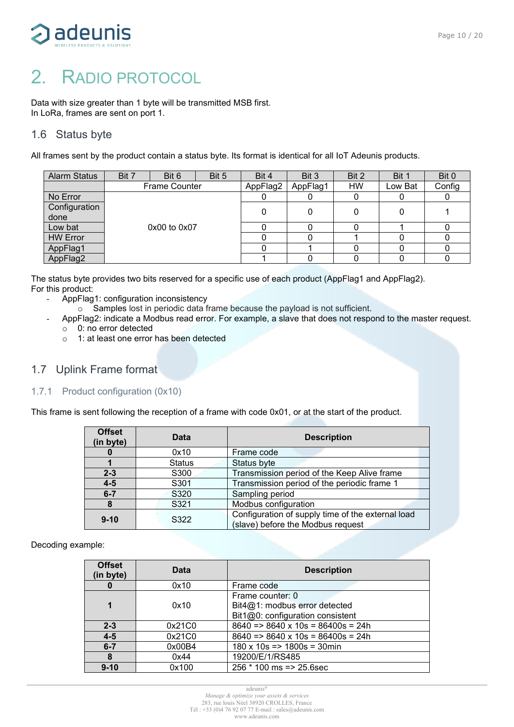

# <span id="page-9-0"></span>2. RADIO PROTOCOL

Data with size greater than 1 byte will be transmitted MSB first. In LoRa, frames are sent on port 1.

### <span id="page-9-1"></span>1.6 Status byte

All frames sent by the product contain a status byte. Its format is identical for all IoT Adeunis products.

| <b>Alarm Status</b> | Bit 7 | Bit 6                | Bit 5 | Bit 4    | Bit 3    | Bit 2     | Bit 1   | Bit 0  |
|---------------------|-------|----------------------|-------|----------|----------|-----------|---------|--------|
|                     |       | <b>Frame Counter</b> |       | AppFlag2 | AppFlag1 | <b>HW</b> | Low Bat | Config |
| No Error            |       |                      |       |          |          |           |         |        |
| Configuration       |       |                      |       |          |          |           |         |        |
| done                |       |                      |       |          |          |           |         |        |
| Low bat             |       | 0x00 to 0x07         |       |          |          |           |         |        |
| <b>HW Error</b>     |       |                      |       |          |          |           |         |        |
| AppFlag1            |       |                      |       |          |          |           |         |        |
| AppFlag2            |       |                      |       |          |          |           |         |        |

The status byte provides two bits reserved for a specific use of each product (AppFlag1 and AppFlag2). For this product:

- AppFlag1: configuration inconsistency
	- o Samples lost in periodic data frame because the payload is not sufficient.
- AppFlag2: indicate a Modbus read error. For example, a slave that does not respond to the master request.  $\circ$  0: no error detected
	- o 1: at least one error has been detected

### <span id="page-9-2"></span>1.7 Uplink Frame format

#### <span id="page-9-3"></span>1.7.1 Product configuration (0x10)

This frame is sent following the reception of a frame with code 0x01, or at the start of the product.

| <b>Offset</b><br>(in byte) | <b>Data</b>   | <b>Description</b>                                                                     |
|----------------------------|---------------|----------------------------------------------------------------------------------------|
|                            | 0x10          | Frame code                                                                             |
|                            | <b>Status</b> | Status byte                                                                            |
| $2 - 3$                    | S300          | Transmission period of the Keep Alive frame                                            |
| $4 - 5$                    | S301          | Transmission period of the periodic frame 1                                            |
| $6 - 7$                    | S320          | Sampling period                                                                        |
|                            | S321          | Modbus configuration                                                                   |
| $9 - 10$                   | S322          | Configuration of supply time of the external load<br>(slave) before the Modbus request |

Decoding example:

| <b>Offset</b><br>(in byte) | Data   | <b>Description</b>                                                                    |
|----------------------------|--------|---------------------------------------------------------------------------------------|
| 0                          | 0x10   | Frame code                                                                            |
|                            | 0x10   | Frame counter: 0<br>Bit4@1: modbus error detected<br>Bit1@0: configuration consistent |
| $2 - 3$                    | 0x21C0 | $8640 \approx 8640 \times 10s = 86400s = 24h$                                         |
| $4 - 5$                    | 0x21C0 | $8640 \approx 8640 \times 10s = 86400s = 24h$                                         |
| $6 - 7$                    | 0x00B4 | $180 \times 10s \equiv 1800s = 30min$                                                 |
| 8                          | 0x44   | 19200/E/1/RS485                                                                       |
| $9 - 10$                   | 0x100  | $256 * 100$ ms = $> 25.6$ sec                                                         |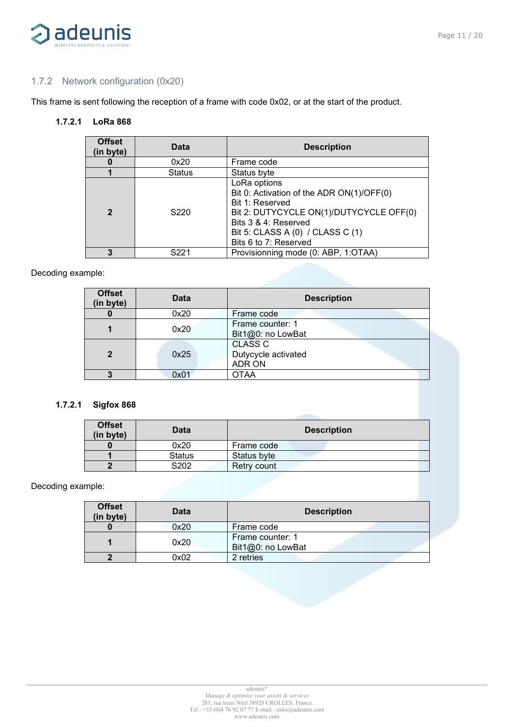

### <span id="page-10-0"></span>1.7.2 Network configuration (0x20)

This frame is sent following the reception of a frame with code 0x02, or at the start of the product.

#### **1.7.2.1 LoRa 868**

| <b>Offset</b><br>(in byte) | Data          | <b>Description</b>                                                                                                                                                                                           |
|----------------------------|---------------|--------------------------------------------------------------------------------------------------------------------------------------------------------------------------------------------------------------|
|                            | 0x20          | Frame code                                                                                                                                                                                                   |
|                            | <b>Status</b> | Status byte                                                                                                                                                                                                  |
| $\mathbf{c}$               | S220          | LoRa options<br>Bit 0: Activation of the ADR ON(1)/OFF(0)<br>Bit 1: Reserved<br>Bit 2: DUTYCYCLE ON(1)/DUTYCYCLE OFF(0)<br>Bits 3 & 4: Reserved<br>Bit 5: CLASS A (0) / CLASS C (1)<br>Bits 6 to 7: Reserved |
| 3                          | S221          | Provisionning mode (0: ABP, 1:OTAA)                                                                                                                                                                          |

#### Decoding example:

| <b>Offset</b><br>(in byte) | Data | <b>Description</b>                              |
|----------------------------|------|-------------------------------------------------|
|                            | 0x20 | Frame code                                      |
|                            | 0x20 | Frame counter: 1<br>Bit1@0: no LowBat           |
| $\overline{2}$             | 0x25 | <b>CLASS C</b><br>Dutycycle activated<br>ADR ON |
|                            | 0x01 | OTAA                                            |

#### **1.7.2.1 Sigfox 868**

| <b>Offset</b><br>(in byte) | Data          | <b>Description</b> |
|----------------------------|---------------|--------------------|
|                            | 0x20          | Frame code         |
|                            | <b>Status</b> | Status byte        |
|                            | S202          | Retry count        |

Decoding example:

| <b>Offset</b><br>(in byte) | Data | <b>Description</b>                    |
|----------------------------|------|---------------------------------------|
|                            | 0x20 | Frame code                            |
|                            | 0x20 | Frame counter: 1<br>Bit1@0: no LowBat |
|                            | 0x02 | 2 retries                             |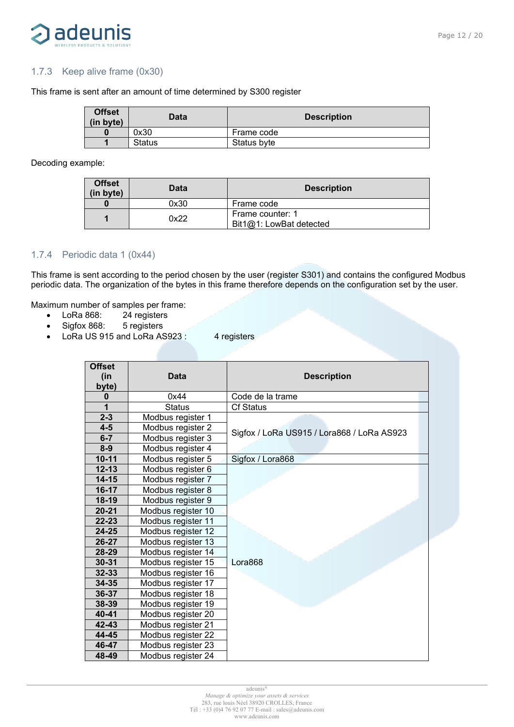

### <span id="page-11-0"></span>1.7.3 Keep alive frame (0x30)

This frame is sent after an amount of time determined by S300 register

| Offset<br>(in byte) | Data   | <b>Description</b> |
|---------------------|--------|--------------------|
|                     | 0x30   | Frame code         |
|                     | Status | Status byte        |

Decoding example:

| <b>Offset</b><br>(in byte) | Data | <b>Description</b>                          |
|----------------------------|------|---------------------------------------------|
|                            | 0x30 | Frame code                                  |
|                            | 0x22 | Frame counter: 1<br>Bit1@1: LowBat detected |

#### <span id="page-11-1"></span>1.7.4 Periodic data 1 (0x44)

This frame is sent according to the period chosen by the user (register S301) and contains the configured Modbus periodic data. The organization of the bytes in this frame therefore depends on the configuration set by the user.

Maximum number of samples per frame:

- LoRa 868: 24 registers
- Sigfox 868: 5 registers
- LoRa US 915 and LoRa AS923: 4 registers
	-

| <b>Offset</b><br>(in<br>byte) | <b>Data</b>        | <b>Description</b>                         |
|-------------------------------|--------------------|--------------------------------------------|
| $\bf{0}$                      | 0x44               | Code de la trame                           |
| 1                             | <b>Status</b>      | <b>Cf Status</b>                           |
| $2 - 3$                       | Modbus register 1  |                                            |
| $4-5$                         | Modbus register 2  | Sigfox / LoRa US915 / Lora868 / LoRa AS923 |
| $6 - 7$                       | Modbus register 3  |                                            |
| $8 - 9$                       | Modbus register 4  |                                            |
| $10 - 11$                     | Modbus register 5  | Sigfox / Lora868                           |
| $12 - 13$                     | Modbus register 6  |                                            |
| $14 - 15$                     | Modbus register 7  |                                            |
| $16-17$                       | Modbus register 8  |                                            |
| $18-19$                       | Modbus register 9  |                                            |
| $20 - 21$                     | Modbus register 10 |                                            |
| 22-23                         | Modbus register 11 |                                            |
| $24 - 25$                     | Modbus register 12 |                                            |
| 26-27                         | Modbus register 13 |                                            |
| 28-29                         | Modbus register 14 |                                            |
| $30 - 31$                     | Modbus register 15 | Lora868                                    |
| $32 - 33$                     | Modbus register 16 |                                            |
| $34 - 35$                     | Modbus register 17 |                                            |
| 36-37                         | Modbus register 18 |                                            |
| 38-39                         | Modbus register 19 |                                            |
| 40-41                         | Modbus register 20 |                                            |
| 42-43                         | Modbus register 21 |                                            |
| 44-45                         | Modbus register 22 |                                            |
| 46-47                         | Modbus register 23 |                                            |
| 48-49                         | Modbus register 24 |                                            |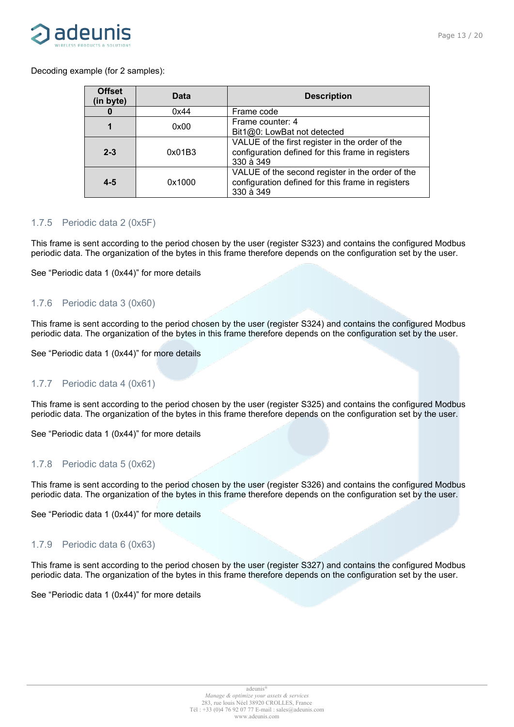

Decoding example (for 2 samples):

| <b>Offset</b><br>(in byte) | <b>Data</b> | <b>Description</b>                                                                                                 |
|----------------------------|-------------|--------------------------------------------------------------------------------------------------------------------|
|                            | 0x44        | Frame code                                                                                                         |
|                            | 0x00        | Frame counter: 4<br>Bit1@0: LowBat not detected                                                                    |
| $2 - 3$                    | 0x01B3      | VALUE of the first register in the order of the<br>configuration defined for this frame in registers<br>330 à 349  |
| $4 - 5$                    | 0x1000      | VALUE of the second register in the order of the<br>configuration defined for this frame in registers<br>330 à 349 |

#### <span id="page-12-0"></span>1.7.5 Periodic data 2 (0x5F)

This frame is sent according to the period chosen by the user (register S323) and contains the configured Modbus periodic data. The organization of the bytes in this frame therefore depends on the configuration set by the user.

See "Periodic data 1 (0x44)" for more details

#### <span id="page-12-1"></span>1.7.6 Periodic data 3 (0x60)

This frame is sent according to the period chosen by the user (register S324) and contains the configured Modbus periodic data. The organization of the bytes in this frame therefore depends on the configuration set by the user.

See "Periodic data 1 (0x44)" for more details

#### <span id="page-12-2"></span>1.7.7 Periodic data 4 (0x61)

This frame is sent according to the period chosen by the user (register S325) and contains the configured Modbus periodic data. The organization of the bytes in this frame therefore depends on the configuration set by the user.

See "Periodic data 1 (0x44)" for more details

#### <span id="page-12-3"></span>1.7.8 Periodic data 5 (0x62)

This frame is sent according to the period chosen by the user (register S326) and contains the configured Modbus periodic data. The organization of the bytes in this frame therefore depends on the configuration set by the user.

See "Periodic data 1 (0x44)" for more details

#### <span id="page-12-4"></span>1.7.9 Periodic data 6 (0x63)

This frame is sent according to the period chosen by the user (register S327) and contains the configured Modbus periodic data. The organization of the bytes in this frame therefore depends on the configuration set by the user.

See "Periodic data 1 (0x44)" for more details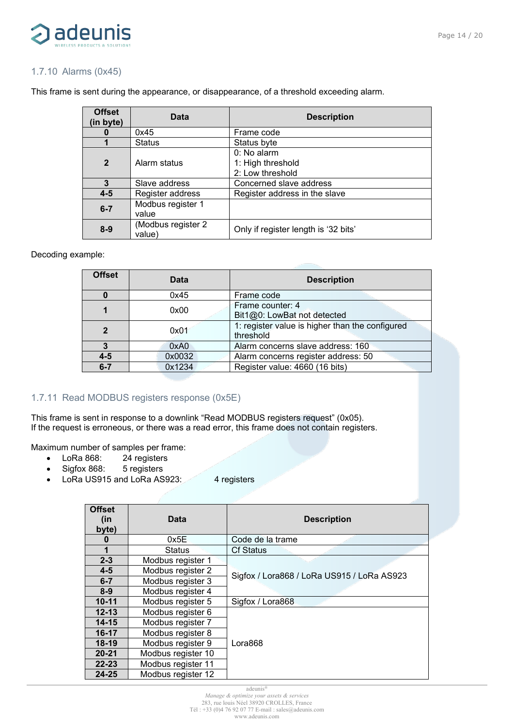

### <span id="page-13-0"></span>1.7.10 Alarms (0x45)

This frame is sent during the appearance, or disappearance, of a threshold exceeding alarm.

| <b>Offset</b><br>(in byte) | Data                         | <b>Description</b>                                     |
|----------------------------|------------------------------|--------------------------------------------------------|
|                            | 0x45                         | Frame code                                             |
|                            | <b>Status</b>                | Status byte                                            |
| $\overline{2}$             | Alarm status                 | $0: No$ alarm<br>1: High threshold<br>2: Low threshold |
| 3                          | Slave address                | Concerned slave address                                |
| $4 - 5$                    | Register address             | Register address in the slave                          |
| $6 - 7$                    | Modbus register 1<br>value   |                                                        |
| $8 - 9$                    | (Modbus register 2<br>value) | Only if register length is '32 bits'                   |

#### Decoding example:

| <b>Offset</b> | <b>Data</b> | <b>Description</b>                                           |
|---------------|-------------|--------------------------------------------------------------|
|               | 0x45        | Frame code                                                   |
|               | 0x00        | Frame counter: 4<br>Bit1@0: LowBat not detected              |
| $\mathbf{2}$  | 0x01        | 1: register value is higher than the configured<br>threshold |
|               | 0xA0        | Alarm concerns slave address: 160                            |
| $4 - 5$       | 0x0032      | Alarm concerns register address: 50                          |
| $6 - 7$       | 0x1234      | Register value: 4660 (16 bits)                               |

#### <span id="page-13-1"></span>1.7.11 Read MODBUS registers response (0x5E)

This frame is sent in response to a downlink "Read MODBUS registers request" (0x05). If the request is erroneous, or there was a read error, this frame does not contain registers.

Maximum number of samples per frame:

- LoRa 868: 24 registers
- Sigfox 868: 5 registers
- LoRa US915 and LoRa AS923: 4 registers

| <b>Offset</b><br>(in<br>byte)                              | Data               | <b>Description</b>                         |
|------------------------------------------------------------|--------------------|--------------------------------------------|
| 0                                                          | 0x5E               | Code de la trame                           |
| 1                                                          | Status             | <b>Cf Status</b>                           |
| $2 - 3$                                                    | Modbus register 1  |                                            |
| $4 - 5$                                                    | Modbus register 2  |                                            |
| $6 - 7$                                                    | Modbus register 3  | Sigfox / Lora868 / LoRa US915 / LoRa AS923 |
| $8 - 9$<br>Modbus register 4                               |                    |                                            |
| $10 - 11$                                                  | Modbus register 5  | Sigfox / Lora868                           |
| $12 - 13$                                                  | Modbus register 6  |                                            |
| $14 - 15$                                                  | Modbus register 7  |                                            |
| Modbus register 8<br>$16-17$<br>18-19<br>Modbus register 9 |                    |                                            |
|                                                            |                    | Lora868                                    |
| $20 - 21$                                                  | Modbus register 10 |                                            |
| $22 - 23$                                                  | Modbus register 11 |                                            |
| $24 - 25$                                                  | Modbus register 12 |                                            |

adeunis® *Manage & optimize your assets & services* 283, rue louis Néel 38920 CROLLES, France Tél : +33 (0)4 76 92 07 77 E-mail : sales@adeunis.com www.adeunis.com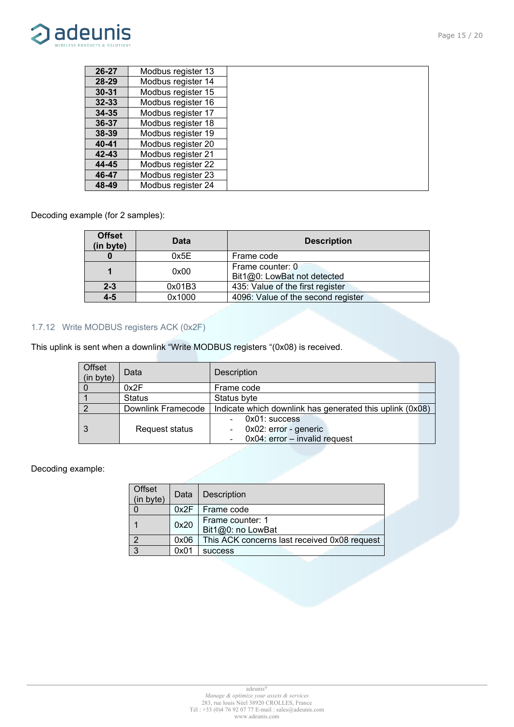

| $26 - 27$                       | Modbus register 13 |  |
|---------------------------------|--------------------|--|
| Modbus register 14<br>$28 - 29$ |                    |  |
| $30 - 31$                       | Modbus register 15 |  |
| $32 - 33$                       | Modbus register 16 |  |
| $34 - 35$                       | Modbus register 17 |  |
| $36 - 37$                       | Modbus register 18 |  |
| 38-39                           | Modbus register 19 |  |
| 40-41                           | Modbus register 20 |  |
| $42 - 43$                       | Modbus register 21 |  |
| 44-45                           | Modbus register 22 |  |
| 46-47                           | Modbus register 23 |  |
| 48-49                           | Modbus register 24 |  |

Decoding example (for 2 samples):

| <b>Offset</b><br>(in byte) | Data   | <b>Description</b>                              |
|----------------------------|--------|-------------------------------------------------|
|                            | 0x5E   | Frame code                                      |
|                            | 0x00   | Frame counter: 0<br>Bit1@0: LowBat not detected |
| $2 - 3$                    | 0x01B3 | 435: Value of the first register                |
| $4 - 5$                    | 0x1000 | 4096: Value of the second register              |

#### <span id="page-14-0"></span>1.7.12 Write MODBUS registers ACK (0x2F)

This uplink is sent when a downlink "Write MODBUS registers "(0x08) is received.

| Offset<br>(in byte) | Data               | <b>Description</b>                                                         |
|---------------------|--------------------|----------------------------------------------------------------------------|
|                     | 0x2F               | Frame code                                                                 |
|                     | <b>Status</b>      | Status byte                                                                |
|                     | Downlink Framecode | Indicate which downlink has generated this uplink (0x08)                   |
|                     | Request status     | 0x01: success<br>0x02: error - generic<br>$0x04$ : error - invalid request |

Decoding example:

| Offset<br>(in byte) | Data | <b>Description</b>                           |
|---------------------|------|----------------------------------------------|
|                     | 0x2F | I Frame code                                 |
|                     | 0x20 | Frame counter: 1<br>Bit1@0: no LowBat        |
| c                   | 0x06 | This ACK concerns last received 0x08 request |
| $\mathbf{z}$        | 0x01 | <b>SUCCESS</b>                               |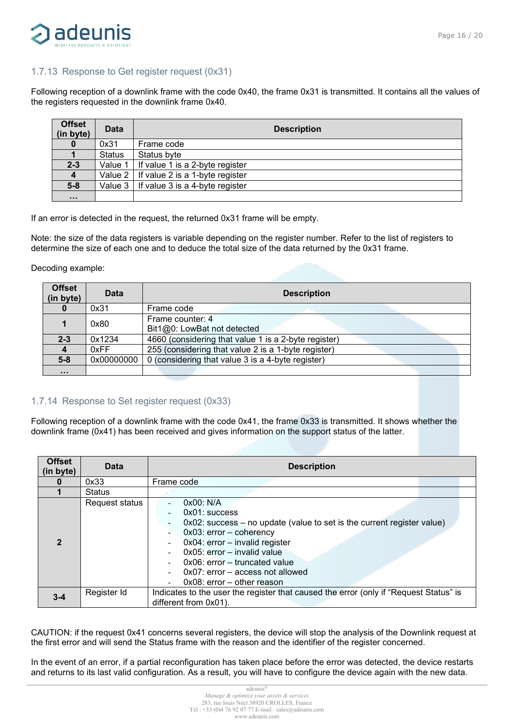

#### <span id="page-15-0"></span>1.7.13 Response to Get register request (0x31)

Following reception of a downlink frame with the code 0x40, the frame 0x31 is transmitted. It contains all the values of the registers requested in the downlink frame 0x40.

| <b>Offset</b><br>(in byte) | <b>Data</b>   | <b>Description</b>                             |  |
|----------------------------|---------------|------------------------------------------------|--|
| $\bf{0}$                   | 0x31          | Frame code                                     |  |
|                            | <b>Status</b> | Status byte                                    |  |
| $2 - 3$                    |               | Value 1   If value 1 is a 2-byte register      |  |
| $\overline{4}$             |               | Value $2 \mid$ If value 2 is a 1-byte register |  |
| $5-8$                      |               | Value $3 \mid$ If value 3 is a 4-byte register |  |
| $\cdots$                   |               |                                                |  |

If an error is detected in the request, the returned 0x31 frame will be empty.

Note: the size of the data registers is variable depending on the register number. Refer to the list of registers to determine the size of each one and to deduce the total size of the data returned by the 0x31 frame.

Decoding example:

| <b>Offset</b><br>(in byte) | <b>Data</b> | <b>Description</b>                                   |  |
|----------------------------|-------------|------------------------------------------------------|--|
|                            | 0x31        | Frame code                                           |  |
|                            | 0x80        | Frame counter: 4<br>Bit1@0: LowBat not detected      |  |
| $2 - 3$                    | 0x1234      | 4660 (considering that value 1 is a 2-byte register) |  |
|                            | 0xFF        | 255 (considering that value 2 is a 1-byte register)  |  |
| $5 - 8$                    | 0x00000000  | 0 (considering that value 3 is a 4-byte register)    |  |
| $\cdots$                   |             |                                                      |  |

#### <span id="page-15-1"></span>1.7.14 Response to Set register request (0x33)

Following reception of a downlink frame with the code 0x41, the frame 0x33 is transmitted. It shows whether the downlink frame (0x41) has been received and gives information on the support status of the latter.

| <b>Offset</b><br>(in byte) | Data           | <b>Description</b>                                                                                                                                                                                                                                                                                                       |  |
|----------------------------|----------------|--------------------------------------------------------------------------------------------------------------------------------------------------------------------------------------------------------------------------------------------------------------------------------------------------------------------------|--|
|                            | 0x33           | Frame code                                                                                                                                                                                                                                                                                                               |  |
|                            | <b>Status</b>  |                                                                                                                                                                                                                                                                                                                          |  |
| 2                          | Request status | 0x00: N/A<br>$0x01$ : success<br>0x02: success - no update (value to set is the current register value)<br>$0x03$ : error - coherency<br>$0x04$ : error – invalid register<br>$0x05$ : error – invalid value<br>$0x06$ : error – truncated value<br>$0x07$ : error – access not allowed<br>$0x08$ : error – other reason |  |
| $3 - 4$                    | Register Id    | Indicates to the user the register that caused the error (only if "Request Status" is<br>different from 0x01).                                                                                                                                                                                                           |  |

CAUTION: if the request 0x41 concerns several registers, the device will stop the analysis of the Downlink request at the first error and will send the Status frame with the reason and the identifier of the register concerned.

In the event of an error, if a partial reconfiguration has taken place before the error was detected, the device restarts and returns to its last valid configuration. As a result, you will have to configure the device again with the new data.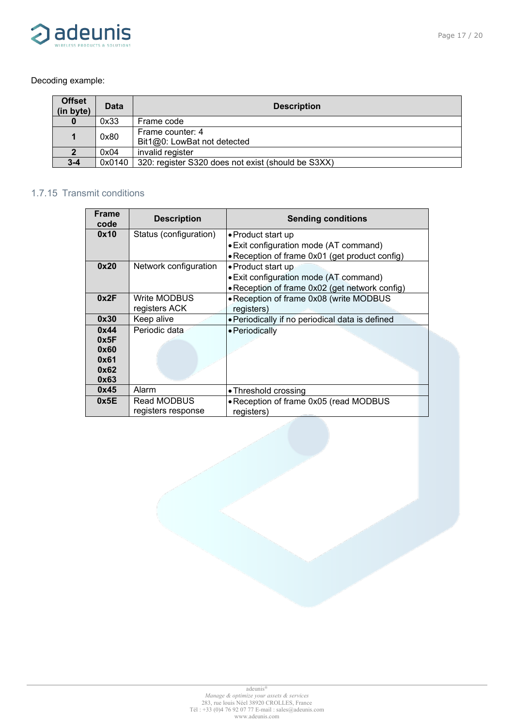

#### Decoding example:

| <b>Offset</b><br>(in byte) | <b>Data</b>                                                  | <b>Description</b>                              |  |
|----------------------------|--------------------------------------------------------------|-------------------------------------------------|--|
|                            | 0x33                                                         | Frame code                                      |  |
|                            | 0x80                                                         | Frame counter: 4<br>Bit1@0: LowBat not detected |  |
|                            | 0x04<br>invalid register                                     |                                                 |  |
| $3 - 4$                    | 0x0140<br>320: register S320 does not exist (should be S3XX) |                                                 |  |

#### <span id="page-16-0"></span>1.7.15 Transmit conditions

| <b>Frame</b><br>code  | <b>Description</b>     | <b>Sending conditions</b>                       |
|-----------------------|------------------------|-------------------------------------------------|
| 0x10                  | Status (configuration) | • Product start up                              |
|                       |                        | • Exit configuration mode (AT command)          |
|                       |                        | • Reception of frame 0x01 (get product config)  |
| 0x20                  | Network configuration  | • Product start up                              |
|                       |                        | • Exit configuration mode (AT command)          |
|                       |                        | • Reception of frame 0x02 (get network config)  |
| 0x2F                  | Write MODBUS           | • Reception of frame 0x08 (write MODBUS         |
|                       | registers ACK          | registers)                                      |
| 0x30                  | Keep alive             | • Periodically if no periodical data is defined |
| Periodic data<br>0x44 |                        | • Periodically                                  |
| 0x5F                  |                        |                                                 |
| 0x60                  |                        |                                                 |
| 0x61                  |                        |                                                 |
| 0x62                  |                        |                                                 |
| 0x63                  |                        |                                                 |
| 0x45                  | Alarm                  | • Threshold crossing                            |
| 0x5E                  | Read MODBUS            | • Reception of frame 0x05 (read MODBUS          |
|                       | registers response     | registers)                                      |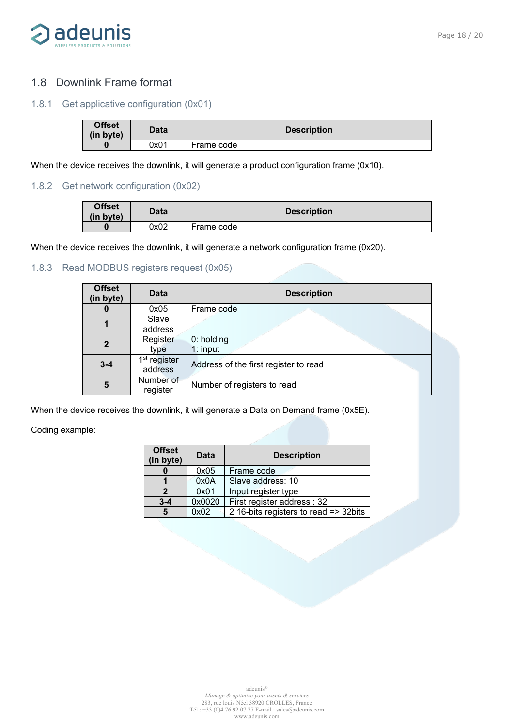

### <span id="page-17-0"></span>1.8 Downlink Frame format

#### <span id="page-17-1"></span>1.8.1 Get applicative configuration (0x01)

| Offset<br>(in byte) | Data | <b>Description</b> |
|---------------------|------|--------------------|
|                     | 0x01 | Frame code         |

When the device receives the downlink, it will generate a product configuration frame (0x10).

#### <span id="page-17-2"></span>1.8.2 Get network configuration (0x02)

| <b>Offset</b><br>(in byte) | Data | <b>Description</b> |
|----------------------------|------|--------------------|
|                            | 0x02 | Frame code         |

When the device receives the downlink, it will generate a network configuration frame (0x20).

#### <span id="page-17-3"></span>1.8.3 Read MODBUS registers request (0x05)

| <b>Offset</b><br>(in byte) | <b>Data</b>                         | <b>Description</b>                    |
|----------------------------|-------------------------------------|---------------------------------------|
|                            | 0x05                                | Frame code                            |
|                            | Slave<br>address                    |                                       |
| $\mathbf{2}$               | Register<br>type                    | 0: holding<br>$1:$ input              |
| $3 - 4$                    | 1 <sup>st</sup> register<br>address | Address of the first register to read |
| 5                          | Number of<br>register               | Number of registers to read           |

When the device receives the downlink, it will generate a Data on Demand frame (0x5E).

#### Coding example:

| <b>Offset</b><br>(in byte) | Data   | <b>Description</b>                    |
|----------------------------|--------|---------------------------------------|
|                            | 0x05   | Frame code                            |
|                            | 0x0A   | Slave address: 10                     |
|                            | 0x01   | Input register type                   |
| $3 - 4$                    | 0x0020 | First register address: 32            |
| 5                          | 0x02   | 2 16-bits registers to read => 32bits |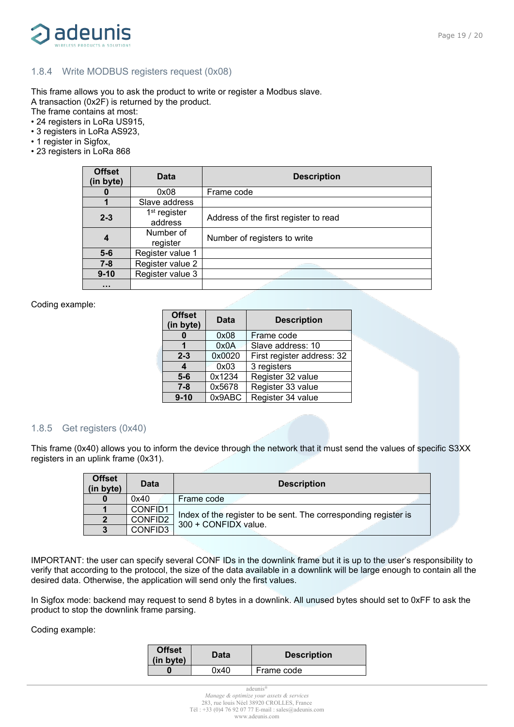

#### <span id="page-18-0"></span>1.8.4 Write MODBUS registers request (0x08)

This frame allows you to ask the product to write or register a Modbus slave. A transaction (0x2F) is returned by the product.

The frame contains at most:

- 24 registers in LoRa US915,
- 3 registers in LoRa AS923,
- 1 register in Sigfox,
- 23 registers in LoRa 868

| <b>Offset</b><br>(in byte) | Data                                | <b>Description</b>                    |
|----------------------------|-------------------------------------|---------------------------------------|
| U                          | 0x08                                | Frame code                            |
|                            | Slave address                       |                                       |
| $2 - 3$                    | 1 <sup>st</sup> register<br>address | Address of the first register to read |
| $\boldsymbol{4}$           | Number of<br>register               | Number of registers to write          |
| $5-6$                      | Register value 1                    |                                       |
| $7 - 8$                    | Register value 2                    |                                       |
| $9 - 10$                   | Register value 3                    |                                       |
| $\cdots$                   |                                     |                                       |

#### Coding example:

| <b>Offset</b><br>(in byte) | <b>Data</b> | <b>Description</b>         |
|----------------------------|-------------|----------------------------|
|                            | 0x08        | Frame code                 |
|                            | 0x0A        | Slave address: 10          |
| $2 - 3$                    | 0x0020      | First register address: 32 |
| 4                          | 0x03        | 3 registers                |
| $5-6$                      | 0x1234      | Register 32 value          |
| $7 - 8$                    | 0x5678      | Register 33 value          |
| $9 - 10$                   | 0x9ABC      | Register 34 value          |

#### <span id="page-18-1"></span>1.8.5 Get registers (0x40)

This frame (0x40) allows you to inform the device through the network that it must send the values of specific S3XX registers in an uplink frame (0x31).

| <b>Offset</b><br>(in byte) | Data    | <b>Description</b>                                                                      |  |
|----------------------------|---------|-----------------------------------------------------------------------------------------|--|
|                            | 0x40    | Frame code                                                                              |  |
|                            | CONFID1 |                                                                                         |  |
| $\mathbf{2}$               | CONFID2 | Index of the register to be sent. The corresponding register is<br>300 + CONFIDX value. |  |
| 3                          | CONFID3 |                                                                                         |  |

IMPORTANT: the user can specify several CONF IDs in the downlink frame but it is up to the user's responsibility to verify that according to the protocol, the size of the data available in a downlink will be large enough to contain all the desired data. Otherwise, the application will send only the first values.

In Sigfox mode: backend may request to send 8 bytes in a downlink. All unused bytes should set to 0xFF to ask the product to stop the downlink frame parsing.

Coding example:

| <b>Offset</b><br>(in byte) | Data | <b>Description</b> |
|----------------------------|------|--------------------|
|                            | 0x40 | Frame code         |